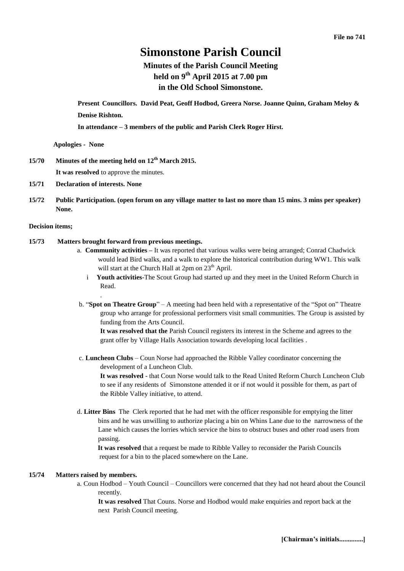# **Simonstone Parish Council**

# **Minutes of the Parish Council Meeting held on 9 th April 2015 at 7.00 pm in the Old School Simonstone.**

**Present Councillors. David Peat, Geoff Hodbod, Greera Norse. Joanne Quinn, Graham Meloy & Denise Rishton.**

**In attendance – 3 members of the public and Parish Clerk Roger Hirst.** 

**Apologies - None**

- **15/70 Minutes of the meeting held on 12th March 2015. It was resolved** to approve the minutes.
- **15/71 Declaration of interests. None**
- **15/72 Public Participation. (open forum on any village matter to last no more than 15 mins. 3 mins per speaker) None.**

# **Decision items;**

# **15/73 Matters brought forward from previous meetings.**

.

- a. **Community activities –** It was reported that various walks were being arranged; Conrad Chadwick would lead Bird walks, and a walk to explore the historical contribution during WW1. This walk will start at the Church Hall at 2pm on 23<sup>th</sup> April.
	- i **Youth activities**-The Scout Group had started up and they meet in the United Reform Church in Read.
- b. "**Spot on Theatre Group**" A meeting had been held with a representative of the "Spot on" Theatre group who arrange for professional performers visit small communities. The Group is assisted by funding from the Arts Council.

**It was resolved that the** Parish Council registers its interest in the Scheme and agrees to the grant offer by Village Halls Association towards developing local facilities .

c. **Luncheon Clubs** – Coun Norse had approached the Ribble Valley coordinator concerning the development of a Luncheon Club.

**It was resolved** - that Coun Norse would talk to the Read United Reform Church Luncheon Club to see if any residents of Simonstone attended it or if not would it possible for them, as part of the Ribble Valley initiative, to attend.

d. **Litter Bins** The Clerk reported that he had met with the officer responsible for emptying the litter bins and he was unwilling to authorize placing a bin on Whins Lane due to the narrowness of the Lane which causes the lorries which service the bins to obstruct buses and other road users from passing.

 **It was resolved** that a request be made to Ribble Valley to reconsider the Parish Councils request for a bin to the placed somewhere on the Lane.

#### **15/74 Matters raised by members.**

a. Coun Hodbod – Youth Council – Councillors were concerned that they had not heard about the Council recently.

 **It was resolved** That Couns. Norse and Hodbod would make enquiries and report back at the next Parish Council meeting.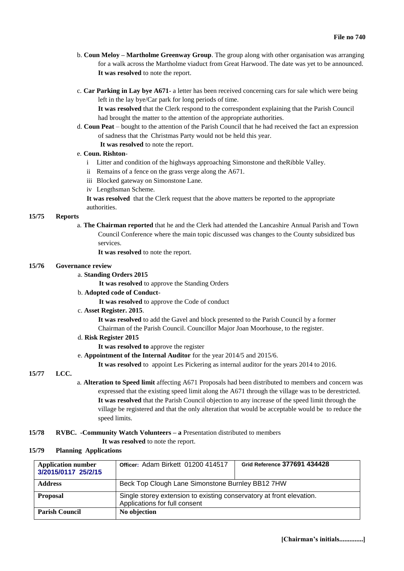- b. **Coun Meloy – Martholme Greenway Group**. The group along with other organisation was arranging for a walk across the Martholme viaduct from Great Harwood. The date was yet to be announced. **It was resolved** to note the report.
- c. **Car Parking in Lay bye A671** a letter has been received concerning cars for sale which were being left in the lay bye/Car park for long periods of time.

**It was resolved** that the Clerk respond to the correspondent explaining that the Parish Council had brought the matter to the attention of the appropriate authorities.

- d. **Coun Peat** bought to the attention of the Parish Council that he had received the fact an expression of sadness that the Christmas Party would not be held this year.
	- **It was resolved** to note the report.

### e. **Coun. Rishton**-

- i Litter and condition of the highways approaching Simonstone and theRibble Valley.
- ii Remains of a fence on the grass verge along the A671.
- iii Blocked gateway on Simonstone Lane.
- iv Lengthsman Scheme.

**It was resolved** that the Clerk request that the above matters be reported to the appropriate authorities.

#### **15/75 Reports**

a. **The Chairman reported** that he and the Clerk had attended the Lancashire Annual Parish and Town Council Conference where the main topic discussed was changes to the County subsidized bus services.

**It was resolved** to note the report.

#### **15/76 Governance review**

#### a. **Standing Orders 2015**

**It was resolved** to approve the Standing Orders

b. **Adopted code of Conduct**-

**It was resolved** to approve the Code of conduct

c. **Asset Register. 2015**.

 **It was resolved** to add the Gavel and block presented to the Parish Council by a former Chairman of the Parish Council. Councillor Major Joan Moorhouse, to the register.

- d. **Risk Register 2015**
	- **It was resolved to** approve the register
- e. **Appointment of the Internal Auditor** for the year 2014/5 and 2015/6.

**It was resolved** to appoint Les Pickering as internal auditor for the years 2014 to 2016.

# **15/77 LCC.**

a. **Alteration to Speed limit** affecting A671 Proposals had been distributed to members and concern was expressed that the existing speed limit along the A671 through the village was to be derestricted. **It was resolved** that the Parish Council objection to any increase of the speed limit through the village be registered and that the only alteration that would be acceptable would be to reduce the speed limits.

### **15/78 RVBC. -Community Watch Volunteers – a** Presentation distributed to members

**It was resolved** to note the report.

#### **15/79 Planning Applications**

| <b>Application number</b><br>3/2015/0117 25/2/15 | Officer: Adam Birkett 01200 414517                                                                    | Grid Reference 377691 434428 |
|--------------------------------------------------|-------------------------------------------------------------------------------------------------------|------------------------------|
| <b>Address</b>                                   | Beck Top Clough Lane Simonstone Burnley BB12 7HW                                                      |                              |
| <b>Proposal</b>                                  | Single storey extension to existing conservatory at front elevation.<br>Applications for full consent |                              |
| <b>Parish Council</b>                            | No objection                                                                                          |                              |